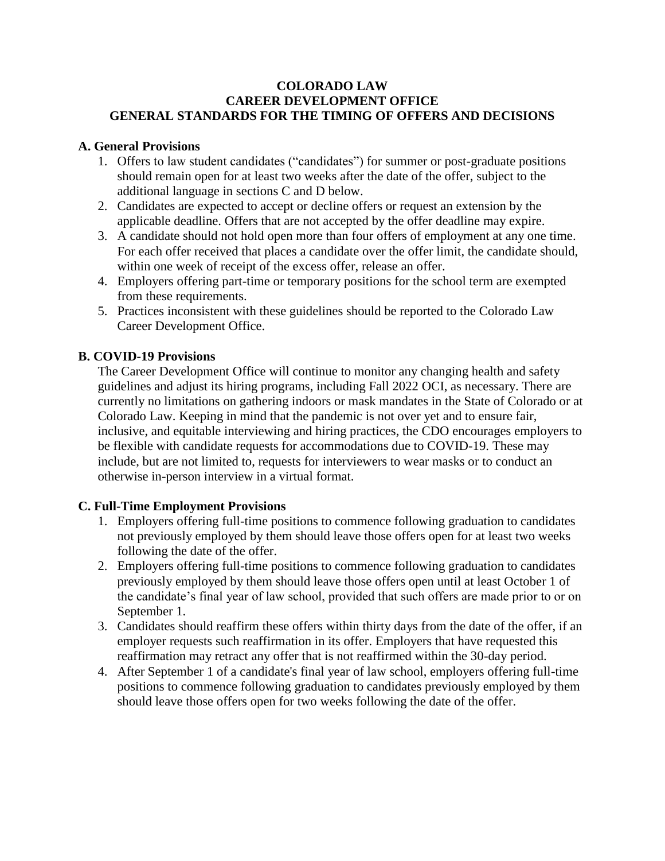### **COLORADO LAW CAREER DEVELOPMENT OFFICE GENERAL STANDARDS FOR THE TIMING OF OFFERS AND DECISIONS**

## **A. General Provisions**

- 1. Offers to law student candidates ("candidates") for summer or post-graduate positions should remain open for at least two weeks after the date of the offer, subject to the additional language in sections C and D below.
- 2. Candidates are expected to accept or decline offers or request an extension by the applicable deadline. Offers that are not accepted by the offer deadline may expire.
- 3. A candidate should not hold open more than four offers of employment at any one time. For each offer received that places a candidate over the offer limit, the candidate should, within one week of receipt of the excess offer, release an offer.
- 4. Employers offering part-time or temporary positions for the school term are exempted from these requirements.
- 5. Practices inconsistent with these guidelines should be reported to the Colorado Law Career Development Office.

# **B. COVID-19 Provisions**

The Career Development Office will continue to monitor any changing health and safety guidelines and adjust its hiring programs, including Fall 2022 OCI, as necessary. There are currently no limitations on gathering indoors or mask mandates in the State of Colorado or at Colorado Law. Keeping in mind that the pandemic is not over yet and to ensure fair, inclusive, and equitable interviewing and hiring practices, the CDO encourages employers to be flexible with candidate requests for accommodations due to COVID-19. These may include, but are not limited to, requests for interviewers to wear masks or to conduct an otherwise in-person interview in a virtual format.

# **C. Full-Time Employment Provisions**

- 1. Employers offering full-time positions to commence following graduation to candidates not previously employed by them should leave those offers open for at least two weeks following the date of the offer.
- 2. Employers offering full-time positions to commence following graduation to candidates previously employed by them should leave those offers open until at least October 1 of the candidate's final year of law school, provided that such offers are made prior to or on September 1.
- 3. Candidates should reaffirm these offers within thirty days from the date of the offer, if an employer requests such reaffirmation in its offer. Employers that have requested this reaffirmation may retract any offer that is not reaffirmed within the 30-day period.
- 4. After September 1 of a candidate's final year of law school, employers offering full-time positions to commence following graduation to candidates previously employed by them should leave those offers open for two weeks following the date of the offer.